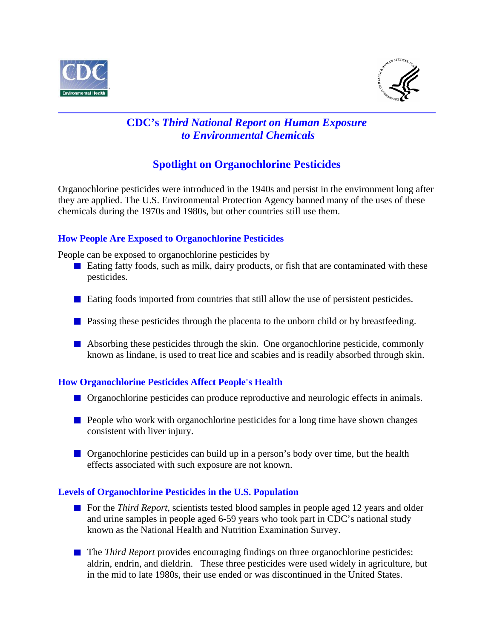



## **CDC's** *Third National Report on Human Exposure to Environmental Chemicals*

# **Spotlight on Organochlorine Pesticides**

Organochlorine pesticides were introduced in the 1940s and persist in the environment long after they are applied. The U.S. Environmental Protection Agency banned many of the uses of these chemicals during the 1970s and 1980s, but other countries still use them.

## **How People Are Exposed to Organochlorine Pesticides**

People can be exposed to organochlorine pesticides by

- Eating fatty foods, such as milk, dairy products, or fish that are contaminated with these pesticides.
- **Example 1** Eating foods imported from countries that still allow the use of persistent pesticides.
- **Passing these pesticides through the placenta to the unborn child or by breastfeeding.**
- Absorbing these pesticides through the skin. One organochlorine pesticide, commonly known as lindane, is used to treat lice and scabies and is readily absorbed through skin.

### **How Organochlorine Pesticides Affect People's Health**

- **Organochlorine pesticides can produce reproductive and neurologic effects in animals.**
- $\blacksquare$  People who work with organochlorine pesticides for a long time have shown changes consistent with liver injury.
- **Organochlorine pesticides can build up in a person's body over time, but the health** effects associated with such exposure are not known.

### **Levels of Organochlorine Pesticides in the U.S. Population**

- For the *Third Report*, scientists tested blood samples in people aged 12 years and older and urine samples in people aged 6-59 years who took part in CDC's national study known as the National Health and Nutrition Examination Survey.
- **The** *Third Report* provides encouraging findings on three organochlorine pesticides: aldrin, endrin, and dieldrin. These three pesticides were used widely in agriculture, but in the mid to late 1980s, their use ended or was discontinued in the United States.